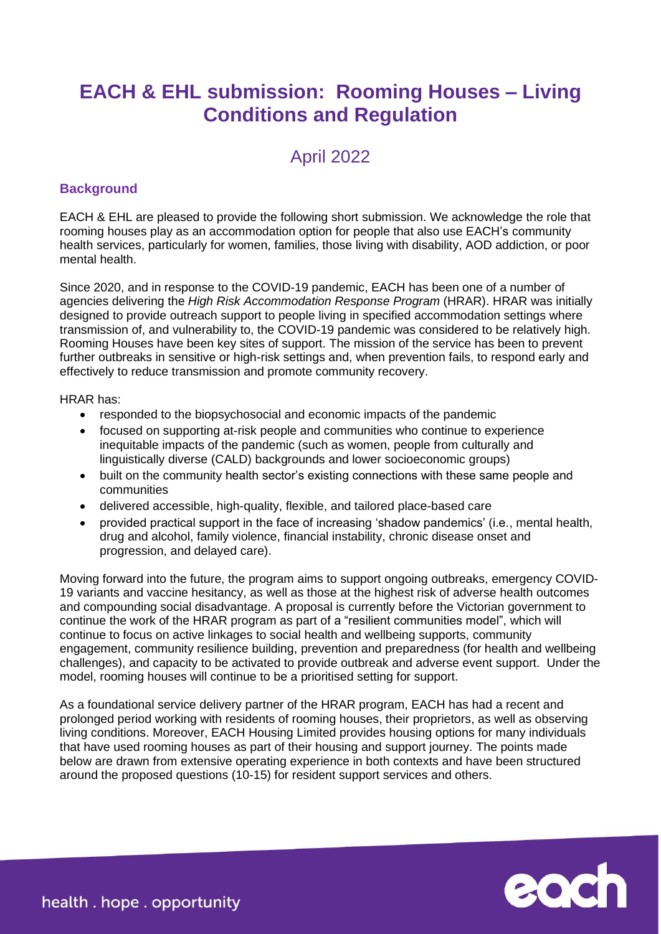# **EACH & EHL submission: Rooming Houses – Living Conditions and Regulation**

# April 2022

## **Background**

EACH & EHL are pleased to provide the following short submission. We acknowledge the role that rooming houses play as an accommodation option for people that also use EACH's community health services, particularly for women, families, those living with disability, AOD addiction, or poor mental health.

Since 2020, and in response to the COVID-19 pandemic, EACH has been one of a number of agencies delivering the *High Risk Accommodation Response Program* (HRAR). HRAR was initially designed to provide outreach support to people living in specified accommodation settings where transmission of, and vulnerability to, the COVID-19 pandemic was considered to be relatively high. Rooming Houses have been key sites of support. The mission of the service has been to prevent further outbreaks in sensitive or high-risk settings and, when prevention fails, to respond early and effectively to reduce transmission and promote community recovery.

#### HRAR has:

- responded to the biopsychosocial and economic impacts of the pandemic
- focused on supporting at-risk people and communities who continue to experience inequitable impacts of the pandemic (such as women, people from culturally and linguistically diverse (CALD) backgrounds and lower socioeconomic groups)
- built on the community health sector's existing connections with these same people and communities
- delivered accessible, high-quality, flexible, and tailored place-based care
- provided practical support in the face of increasing 'shadow pandemics' (i.e., mental health, drug and alcohol, family violence, financial instability, chronic disease onset and progression, and delayed care).

Moving forward into the future, the program aims to support ongoing outbreaks, emergency COVID-19 variants and vaccine hesitancy, as well as those at the highest risk of adverse health outcomes and compounding social disadvantage. A proposal is currently before the Victorian government to continue the work of the HRAR program as part of a "resilient communities model", which will continue to focus on active linkages to social health and wellbeing supports, community engagement, community resilience building, prevention and preparedness (for health and wellbeing challenges), and capacity to be activated to provide outbreak and adverse event support. Under the model, rooming houses will continue to be a prioritised setting for support.

As a foundational service delivery partner of the HRAR program, EACH has had a recent and prolonged period working with residents of rooming houses, their proprietors, as well as observing living conditions. Moreover, EACH Housing Limited provides housing options for many individuals that have used rooming houses as part of their housing and support journey. The points made below are drawn from extensive operating experience in both contexts and have been structured around the proposed questions (10-15) for resident support services and others.

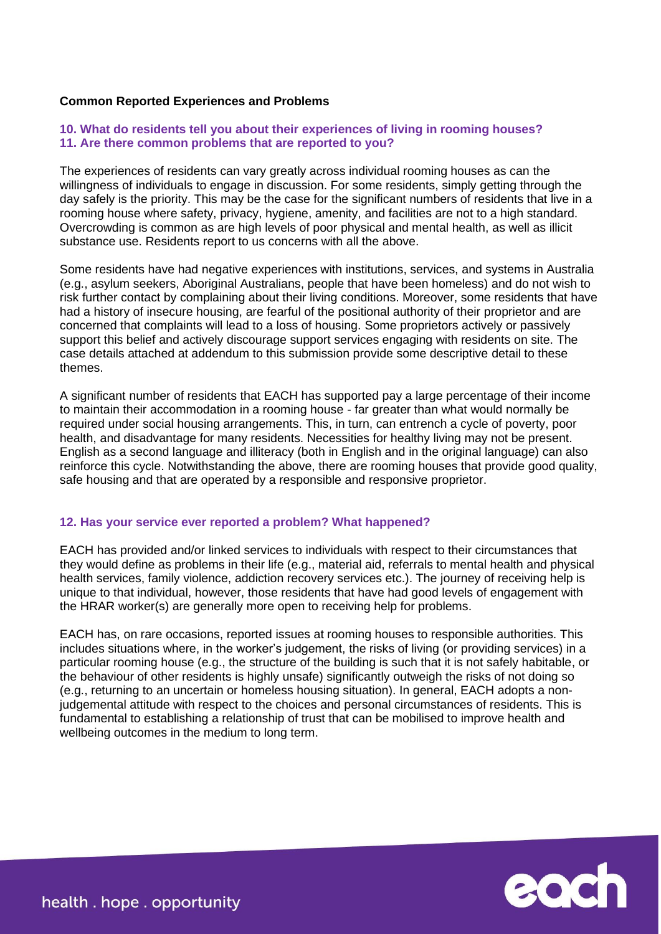### **Common Reported Experiences and Problems**

#### **10. What do residents tell you about their experiences of living in rooming houses? 11. Are there common problems that are reported to you?**

The experiences of residents can vary greatly across individual rooming houses as can the willingness of individuals to engage in discussion. For some residents, simply getting through the day safely is the priority. This may be the case for the significant numbers of residents that live in a rooming house where safety, privacy, hygiene, amenity, and facilities are not to a high standard. Overcrowding is common as are high levels of poor physical and mental health, as well as illicit substance use. Residents report to us concerns with all the above.

Some residents have had negative experiences with institutions, services, and systems in Australia (e.g., asylum seekers, Aboriginal Australians, people that have been homeless) and do not wish to risk further contact by complaining about their living conditions. Moreover, some residents that have had a history of insecure housing, are fearful of the positional authority of their proprietor and are concerned that complaints will lead to a loss of housing. Some proprietors actively or passively support this belief and actively discourage support services engaging with residents on site. The case details attached at addendum to this submission provide some descriptive detail to these themes.

A significant number of residents that EACH has supported pay a large percentage of their income to maintain their accommodation in a rooming house - far greater than what would normally be required under social housing arrangements. This, in turn, can entrench a cycle of poverty, poor health, and disadvantage for many residents. Necessities for healthy living may not be present. English as a second language and illiteracy (both in English and in the original language) can also reinforce this cycle. Notwithstanding the above, there are rooming houses that provide good quality, safe housing and that are operated by a responsible and responsive proprietor.

#### **12. Has your service ever reported a problem? What happened?**

EACH has provided and/or linked services to individuals with respect to their circumstances that they would define as problems in their life (e.g., material aid, referrals to mental health and physical health services, family violence, addiction recovery services etc.). The journey of receiving help is unique to that individual, however, those residents that have had good levels of engagement with the HRAR worker(s) are generally more open to receiving help for problems.

EACH has, on rare occasions, reported issues at rooming houses to responsible authorities. This includes situations where, in the worker's judgement, the risks of living (or providing services) in a particular rooming house (e.g., the structure of the building is such that it is not safely habitable, or the behaviour of other residents is highly unsafe) significantly outweigh the risks of not doing so (e.g., returning to an uncertain or homeless housing situation). In general, EACH adopts a nonjudgemental attitude with respect to the choices and personal circumstances of residents. This is fundamental to establishing a relationship of trust that can be mobilised to improve health and wellbeing outcomes in the medium to long term.



health. hope. opportunity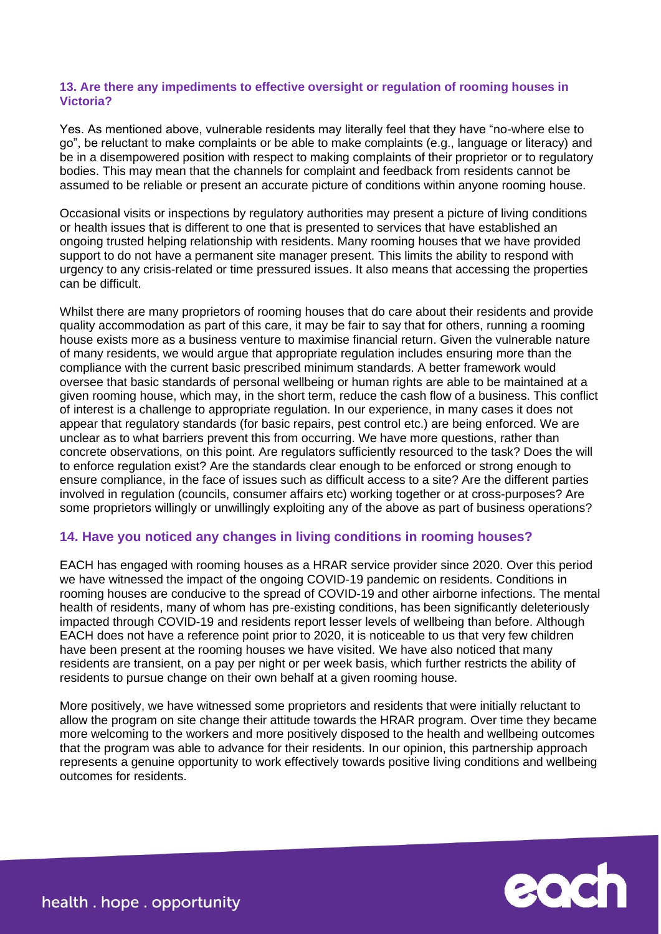### **13. Are there any impediments to effective oversight or regulation of rooming houses in Victoria?**

Yes. As mentioned above, vulnerable residents may literally feel that they have "no-where else to go", be reluctant to make complaints or be able to make complaints (e.g., language or literacy) and be in a disempowered position with respect to making complaints of their proprietor or to regulatory bodies. This may mean that the channels for complaint and feedback from residents cannot be assumed to be reliable or present an accurate picture of conditions within anyone rooming house.

Occasional visits or inspections by regulatory authorities may present a picture of living conditions or health issues that is different to one that is presented to services that have established an ongoing trusted helping relationship with residents. Many rooming houses that we have provided support to do not have a permanent site manager present. This limits the ability to respond with urgency to any crisis-related or time pressured issues. It also means that accessing the properties can be difficult.

Whilst there are many proprietors of rooming houses that do care about their residents and provide quality accommodation as part of this care, it may be fair to say that for others, running a rooming house exists more as a business venture to maximise financial return. Given the vulnerable nature of many residents, we would argue that appropriate regulation includes ensuring more than the compliance with the current basic prescribed minimum standards. A better framework would oversee that basic standards of personal wellbeing or human rights are able to be maintained at a given rooming house, which may, in the short term, reduce the cash flow of a business. This conflict of interest is a challenge to appropriate regulation. In our experience, in many cases it does not appear that regulatory standards (for basic repairs, pest control etc.) are being enforced. We are unclear as to what barriers prevent this from occurring. We have more questions, rather than concrete observations, on this point. Are regulators sufficiently resourced to the task? Does the will to enforce regulation exist? Are the standards clear enough to be enforced or strong enough to ensure compliance, in the face of issues such as difficult access to a site? Are the different parties involved in regulation (councils, consumer affairs etc) working together or at cross-purposes? Are some proprietors willingly or unwillingly exploiting any of the above as part of business operations?

## **14. Have you noticed any changes in living conditions in rooming houses?**

EACH has engaged with rooming houses as a HRAR service provider since 2020. Over this period we have witnessed the impact of the ongoing COVID-19 pandemic on residents. Conditions in rooming houses are conducive to the spread of COVID-19 and other airborne infections. The mental health of residents, many of whom has pre-existing conditions, has been significantly deleteriously impacted through COVID-19 and residents report lesser levels of wellbeing than before. Although EACH does not have a reference point prior to 2020, it is noticeable to us that very few children have been present at the rooming houses we have visited. We have also noticed that many residents are transient, on a pay per night or per week basis, which further restricts the ability of residents to pursue change on their own behalf at a given rooming house.

More positively, we have witnessed some proprietors and residents that were initially reluctant to allow the program on site change their attitude towards the HRAR program. Over time they became more welcoming to the workers and more positively disposed to the health and wellbeing outcomes that the program was able to advance for their residents. In our opinion, this partnership approach represents a genuine opportunity to work effectively towards positive living conditions and wellbeing outcomes for residents.



health. hope. opportunity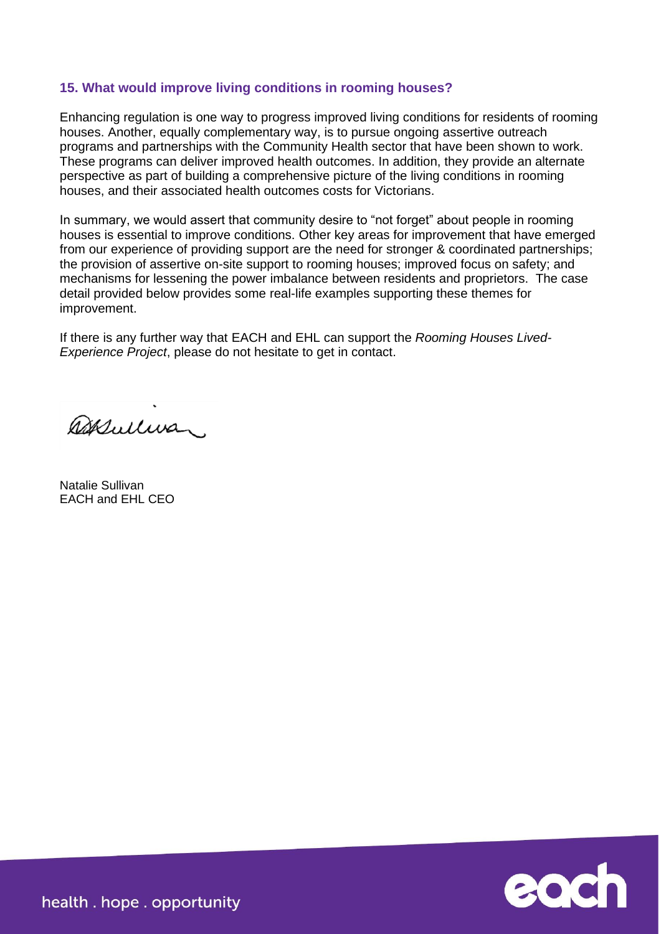## **15. What would improve living conditions in rooming houses?**

Enhancing regulation is one way to progress improved living conditions for residents of rooming houses. Another, equally complementary way, is to pursue ongoing assertive outreach programs and partnerships with the Community Health sector that have been shown to work. These programs can deliver improved health outcomes. In addition, they provide an alternate perspective as part of building a comprehensive picture of the living conditions in rooming houses, and their associated health outcomes costs for Victorians.

In summary, we would assert that community desire to "not forget" about people in rooming houses is essential to improve conditions. Other key areas for improvement that have emerged from our experience of providing support are the need for stronger & coordinated partnerships; the provision of assertive on-site support to rooming houses; improved focus on safety; and mechanisms for lessening the power imbalance between residents and proprietors. The case detail provided below provides some real-life examples supporting these themes for improvement.

If there is any further way that EACH and EHL can support the *Rooming Houses Lived-Experience Project*, please do not hesitate to get in contact.

assulivar.

Natalie Sullivan EACH and EHL CEO



health. hope. opportunity